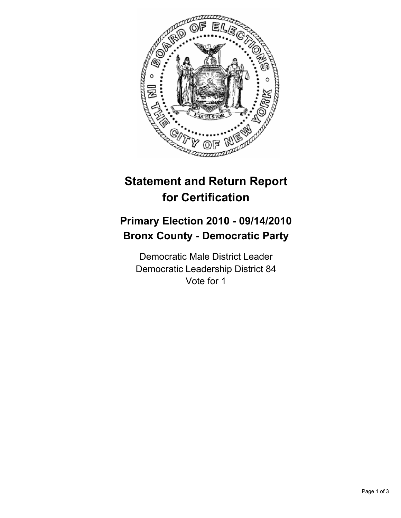

## **Statement and Return Report for Certification**

## **Primary Election 2010 - 09/14/2010 Bronx County - Democratic Party**

Democratic Male District Leader Democratic Leadership District 84 Vote for 1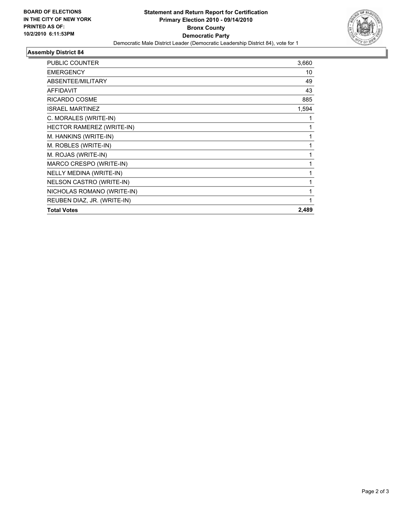

## **Assembly District 84**

| <b>PUBLIC COUNTER</b>       | 3,660 |
|-----------------------------|-------|
| <b>EMERGENCY</b>            | 10    |
| ABSENTEE/MILITARY           | 49    |
| <b>AFFIDAVIT</b>            | 43    |
| RICARDO COSME               | 885   |
| <b>ISRAEL MARTINEZ</b>      | 1,594 |
| C. MORALES (WRITE-IN)       | 1     |
| HECTOR RAMEREZ (WRITE-IN)   | 1     |
| M. HANKINS (WRITE-IN)       | 1     |
| M. ROBLES (WRITE-IN)        | 1     |
| M. ROJAS (WRITE-IN)         | 1     |
| MARCO CRESPO (WRITE-IN)     | 1     |
| NELLY MEDINA (WRITE-IN)     | 1     |
| NELSON CASTRO (WRITE-IN)    | 1     |
| NICHOLAS ROMANO (WRITE-IN)  | 1     |
| REUBEN DIAZ, JR. (WRITE-IN) | 1     |
| <b>Total Votes</b>          | 2,489 |